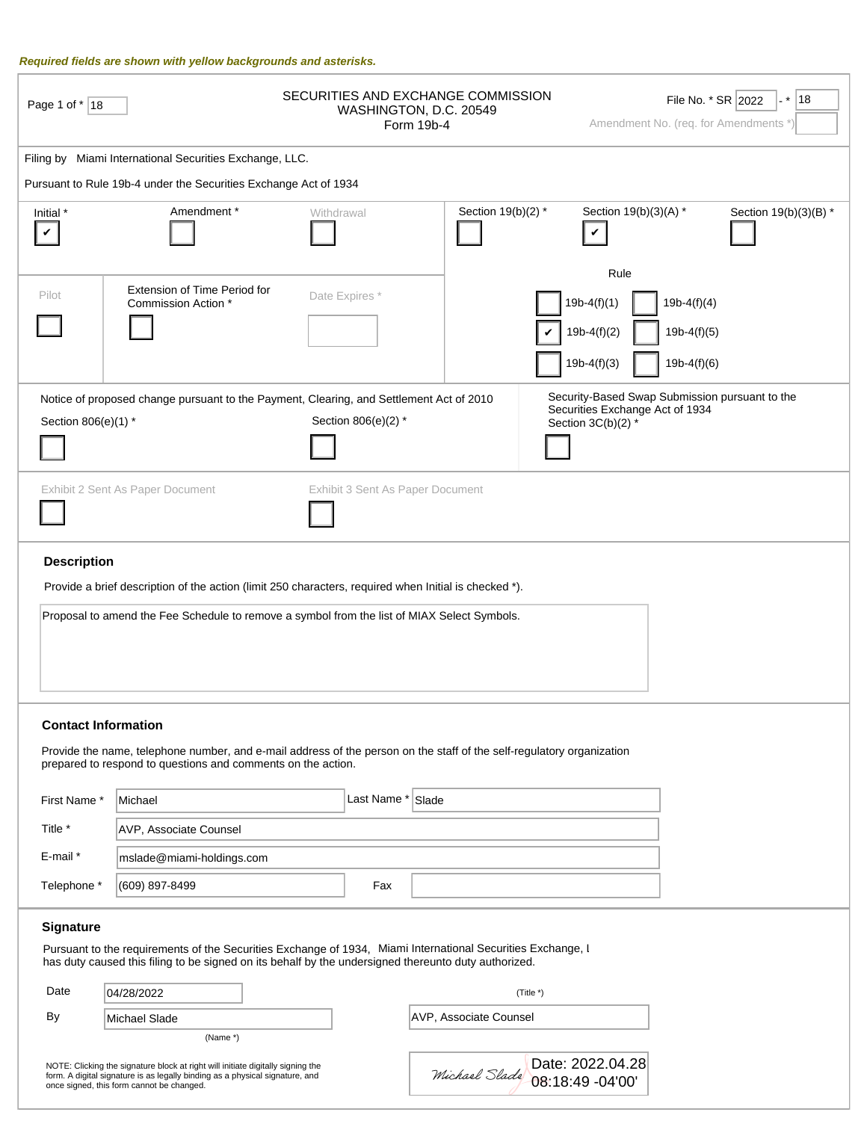#### Required fields are shown with yellow backgrounds and asterisks.

| Page 1 of *   18           |                                                                                                                                                                                                                                                    | SECURITIES AND EXCHANGE COMMISSION | WASHINGTON, D.C. 20549<br>Form 19b-4 |                                                         | File No. * SR 2022<br> 18<br>¦. *<br>Amendment No. (req. for Amendments *) |                       |  |
|----------------------------|----------------------------------------------------------------------------------------------------------------------------------------------------------------------------------------------------------------------------------------------------|------------------------------------|--------------------------------------|---------------------------------------------------------|----------------------------------------------------------------------------|-----------------------|--|
|                            | Filing by Miami International Securities Exchange, LLC.                                                                                                                                                                                            |                                    |                                      |                                                         |                                                                            |                       |  |
|                            | Pursuant to Rule 19b-4 under the Securities Exchange Act of 1934                                                                                                                                                                                   |                                    |                                      |                                                         |                                                                            |                       |  |
| Initial *<br>$\checkmark$  | Amendment*                                                                                                                                                                                                                                         | Withdrawal                         | Section 19(b)(2) *                   | Section 19(b)(3)(A) *<br>V                              |                                                                            | Section 19(b)(3)(B) * |  |
| Pilot                      | Extension of Time Period for<br>Commission Action *                                                                                                                                                                                                | Date Expires*                      |                                      | Rule<br>$19b-4(f)(1)$<br>$19b-4(f)(2)$<br>$19b-4(f)(3)$ | $19b-4(f)(4)$<br>$19b-4(f)(5)$<br>$19b-4(f)(6)$                            |                       |  |
| Section 806(e)(1) *        | Notice of proposed change pursuant to the Payment, Clearing, and Settlement Act of 2010                                                                                                                                                            | Section 806(e)(2) *                |                                      | Securities Exchange Act of 1934<br>Section 3C(b)(2) *   | Security-Based Swap Submission pursuant to the                             |                       |  |
|                            | Exhibit 2 Sent As Paper Document                                                                                                                                                                                                                   | Exhibit 3 Sent As Paper Document   |                                      |                                                         |                                                                            |                       |  |
| <b>Description</b>         | Provide a brief description of the action (limit 250 characters, required when Initial is checked *).<br>Proposal to amend the Fee Schedule to remove a symbol from the list of MIAX Select Symbols.                                               |                                    |                                      |                                                         |                                                                            |                       |  |
| <b>Contact Information</b> | Provide the name, telephone number, and e-mail address of the person on the staff of the self-regulatory organization<br>prepared to respond to questions and comments on the action.                                                              |                                    |                                      |                                                         |                                                                            |                       |  |
| First Name*                | Michael                                                                                                                                                                                                                                            | Last Name * Slade                  |                                      |                                                         |                                                                            |                       |  |
| Title *                    | <b>AVP, Associate Counsel</b>                                                                                                                                                                                                                      |                                    |                                      |                                                         |                                                                            |                       |  |
| $E$ -mail $*$              | mslade@miami-holdings.com                                                                                                                                                                                                                          |                                    |                                      |                                                         |                                                                            |                       |  |
| Telephone *                | (609) 897-8499                                                                                                                                                                                                                                     | Fax                                |                                      |                                                         |                                                                            |                       |  |
| Signature<br>Date<br>By    | Pursuant to the requirements of the Securities Exchange of 1934, Miami International Securities Exchange, I<br>has duty caused this filing to be signed on its behalf by the undersigned thereunto duty authorized.<br>04/28/2022<br>Michael Slade |                                    | AVP, Associate Counsel               | (Title *)                                               |                                                                            |                       |  |
|                            | (Name *)<br>NOTE: Clicking the signature block at right will initiate digitally signing the<br>form. A digital signature is as legally binding as a physical signature, and<br>once signed, this form cannot be changed.                           |                                    |                                      | Date: 2022.04.28<br>Michael Slade 08:18:49 -04'00'      |                                                                            |                       |  |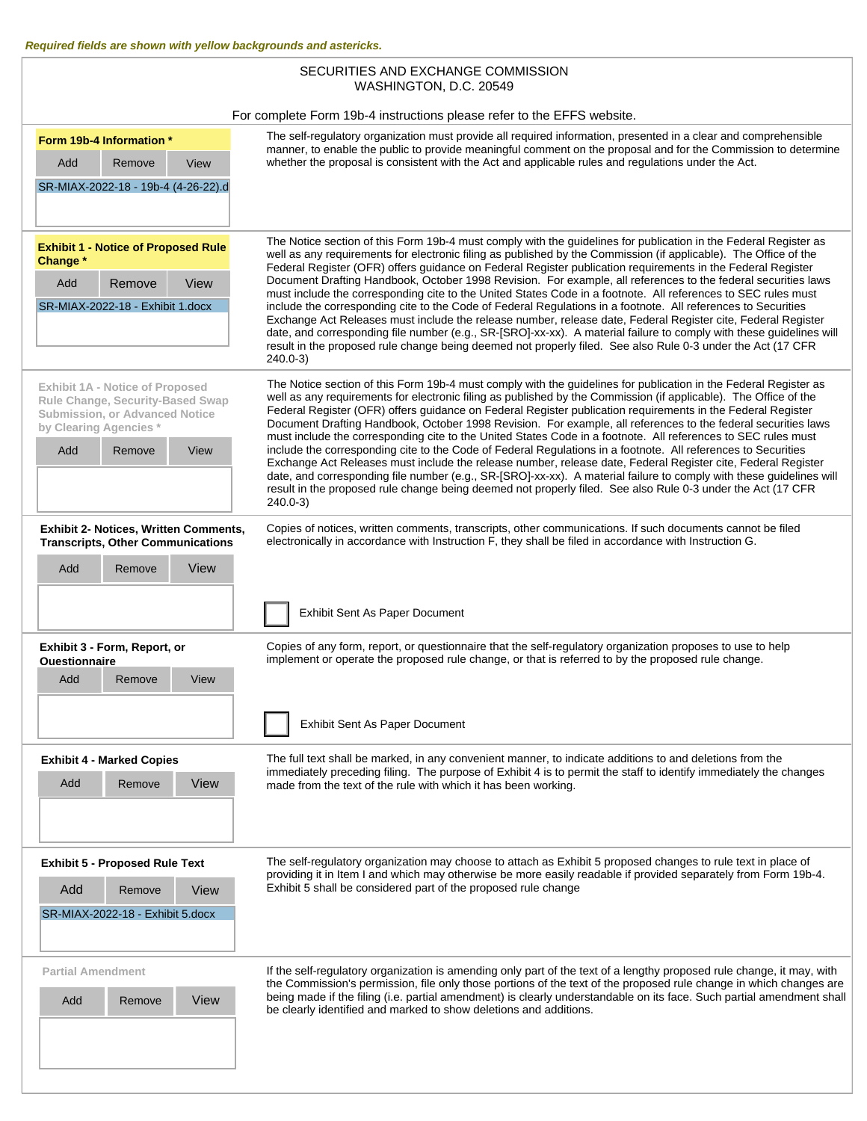| SECURITIES AND EXCHANGE COMMISSION                                                                                                                      |                                                                                                                                                                                                                                                                                                                                                                                                                                                                                                                                                                                                                                                                                                                                                                                                                                                                                                                                                                                                                                                                             |  |  |  |  |  |  |
|---------------------------------------------------------------------------------------------------------------------------------------------------------|-----------------------------------------------------------------------------------------------------------------------------------------------------------------------------------------------------------------------------------------------------------------------------------------------------------------------------------------------------------------------------------------------------------------------------------------------------------------------------------------------------------------------------------------------------------------------------------------------------------------------------------------------------------------------------------------------------------------------------------------------------------------------------------------------------------------------------------------------------------------------------------------------------------------------------------------------------------------------------------------------------------------------------------------------------------------------------|--|--|--|--|--|--|
|                                                                                                                                                         | WASHINGTON, D.C. 20549                                                                                                                                                                                                                                                                                                                                                                                                                                                                                                                                                                                                                                                                                                                                                                                                                                                                                                                                                                                                                                                      |  |  |  |  |  |  |
|                                                                                                                                                         | For complete Form 19b-4 instructions please refer to the EFFS website.                                                                                                                                                                                                                                                                                                                                                                                                                                                                                                                                                                                                                                                                                                                                                                                                                                                                                                                                                                                                      |  |  |  |  |  |  |
| Form 19b-4 Information *<br>Remove<br>Add<br>View                                                                                                       | The self-regulatory organization must provide all required information, presented in a clear and comprehensible<br>manner, to enable the public to provide meaningful comment on the proposal and for the Commission to determine<br>whether the proposal is consistent with the Act and applicable rules and regulations under the Act.                                                                                                                                                                                                                                                                                                                                                                                                                                                                                                                                                                                                                                                                                                                                    |  |  |  |  |  |  |
| SR-MIAX-2022-18 - 19b-4 (4-26-22).d                                                                                                                     |                                                                                                                                                                                                                                                                                                                                                                                                                                                                                                                                                                                                                                                                                                                                                                                                                                                                                                                                                                                                                                                                             |  |  |  |  |  |  |
| <b>Exhibit 1 - Notice of Proposed Rule</b><br>Change *<br>View<br>Remove<br>Add<br>SR-MIAX-2022-18 - Exhibit 1.docx                                     | The Notice section of this Form 19b-4 must comply with the guidelines for publication in the Federal Register as<br>well as any requirements for electronic filing as published by the Commission (if applicable). The Office of the<br>Federal Register (OFR) offers guidance on Federal Register publication requirements in the Federal Register<br>Document Drafting Handbook, October 1998 Revision. For example, all references to the federal securities laws<br>must include the corresponding cite to the United States Code in a footnote. All references to SEC rules must<br>include the corresponding cite to the Code of Federal Regulations in a footnote. All references to Securities<br>Exchange Act Releases must include the release number, release date, Federal Register cite, Federal Register<br>date, and corresponding file number (e.g., SR-[SRO]-xx-xx). A material failure to comply with these guidelines will<br>result in the proposed rule change being deemed not properly filed. See also Rule 0-3 under the Act (17 CFR<br>$240.0 - 3$ |  |  |  |  |  |  |
| Exhibit 1A - Notice of Proposed<br>Rule Change, Security-Based Swap<br>Submission, or Advanced Notice<br>by Clearing Agencies*<br>Add<br>Remove<br>View | The Notice section of this Form 19b-4 must comply with the guidelines for publication in the Federal Register as<br>well as any requirements for electronic filing as published by the Commission (if applicable). The Office of the<br>Federal Register (OFR) offers guidance on Federal Register publication requirements in the Federal Register<br>Document Drafting Handbook, October 1998 Revision. For example, all references to the federal securities laws<br>must include the corresponding cite to the United States Code in a footnote. All references to SEC rules must<br>include the corresponding cite to the Code of Federal Regulations in a footnote. All references to Securities<br>Exchange Act Releases must include the release number, release date, Federal Register cite, Federal Register<br>date, and corresponding file number (e.g., SR-[SRO]-xx-xx). A material failure to comply with these guidelines will<br>result in the proposed rule change being deemed not properly filed. See also Rule 0-3 under the Act (17 CFR<br>$240.0 - 3$ |  |  |  |  |  |  |
| <b>Exhibit 2- Notices, Written Comments,</b><br><b>Transcripts, Other Communications</b>                                                                | Copies of notices, written comments, transcripts, other communications. If such documents cannot be filed<br>electronically in accordance with Instruction F, they shall be filed in accordance with Instruction G.                                                                                                                                                                                                                                                                                                                                                                                                                                                                                                                                                                                                                                                                                                                                                                                                                                                         |  |  |  |  |  |  |
| View<br>Add<br>Remove                                                                                                                                   | Exhibit Sent As Paper Document                                                                                                                                                                                                                                                                                                                                                                                                                                                                                                                                                                                                                                                                                                                                                                                                                                                                                                                                                                                                                                              |  |  |  |  |  |  |
| Exhibit 3 - Form, Report, or<br>Questionnaire<br>Add<br>Remove<br>View                                                                                  | Copies of any form, report, or questionnaire that the self-regulatory organization proposes to use to help<br>implement or operate the proposed rule change, or that is referred to by the proposed rule change.<br>Exhibit Sent As Paper Document                                                                                                                                                                                                                                                                                                                                                                                                                                                                                                                                                                                                                                                                                                                                                                                                                          |  |  |  |  |  |  |
| <b>Exhibit 4 - Marked Copies</b><br>Add<br>Remove<br>View                                                                                               | The full text shall be marked, in any convenient manner, to indicate additions to and deletions from the<br>immediately preceding filing. The purpose of Exhibit 4 is to permit the staff to identify immediately the changes<br>made from the text of the rule with which it has been working.                                                                                                                                                                                                                                                                                                                                                                                                                                                                                                                                                                                                                                                                                                                                                                             |  |  |  |  |  |  |
| <b>Exhibit 5 - Proposed Rule Text</b><br>Add<br>Remove<br>View<br>SR-MIAX-2022-18 - Exhibit 5.docx                                                      | The self-regulatory organization may choose to attach as Exhibit 5 proposed changes to rule text in place of<br>providing it in Item I and which may otherwise be more easily readable if provided separately from Form 19b-4.<br>Exhibit 5 shall be considered part of the proposed rule change                                                                                                                                                                                                                                                                                                                                                                                                                                                                                                                                                                                                                                                                                                                                                                            |  |  |  |  |  |  |
| <b>Partial Amendment</b><br>View<br>Add<br>Remove                                                                                                       | If the self-regulatory organization is amending only part of the text of a lengthy proposed rule change, it may, with<br>the Commission's permission, file only those portions of the text of the proposed rule change in which changes are<br>being made if the filing (i.e. partial amendment) is clearly understandable on its face. Such partial amendment shall<br>be clearly identified and marked to show deletions and additions.                                                                                                                                                                                                                                                                                                                                                                                                                                                                                                                                                                                                                                   |  |  |  |  |  |  |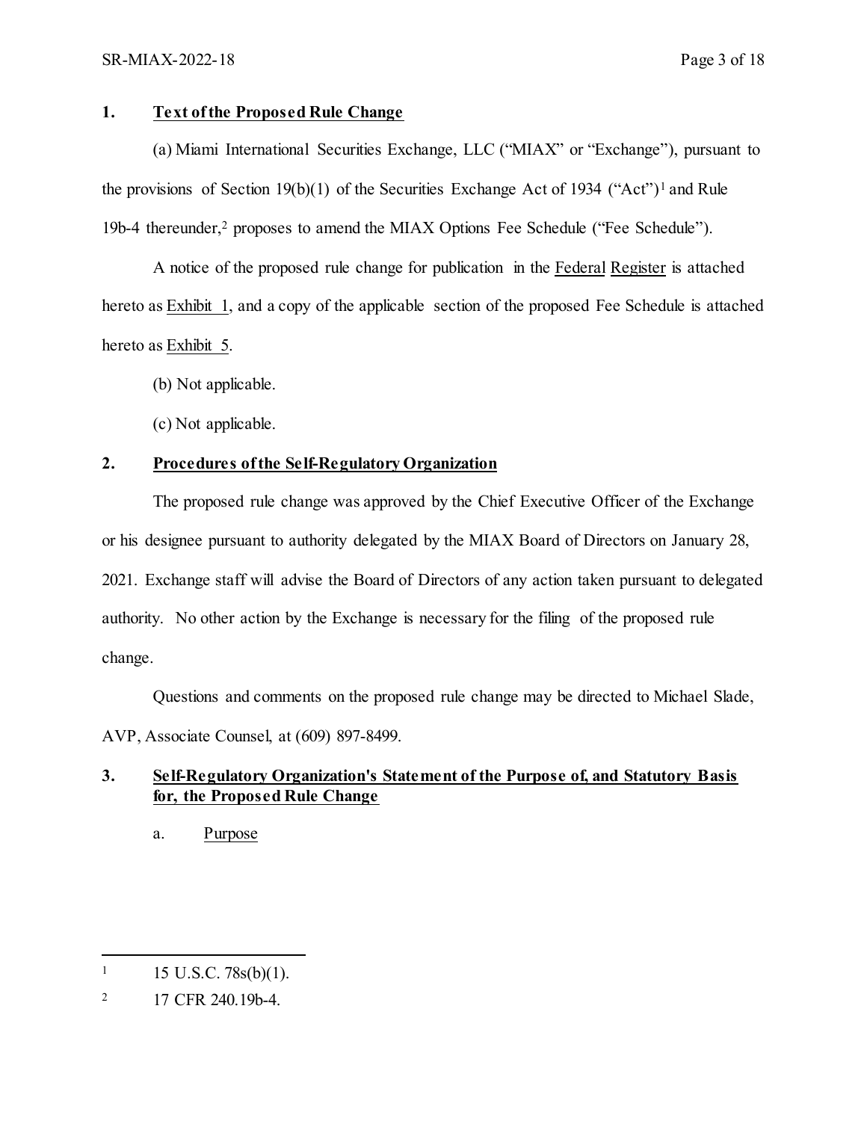## **1. Text of the Proposed Rule Change**

(a) Miami International Securities Exchange, LLC ("MIAX" or "Exchange"), pursuant to the provisions of Section [1](#page-2-0)9(b)(1) of the Securities Exchange Act of 1934 ("Act")<sup>1</sup> and Rule 19b-4 thereunder,[2](#page-2-1) proposes to amend the MIAX Options Fee Schedule ("Fee Schedule").

A notice of the proposed rule change for publication in the Federal Register is attached hereto as Exhibit 1, and a copy of the applicable section of the proposed Fee Schedule is attached hereto as Exhibit 5.

(b) Not applicable.

(c) Not applicable.

# **2. Procedures of the Self-Regulatory Organization**

The proposed rule change was approved by the Chief Executive Officer of the Exchange or his designee pursuant to authority delegated by the MIAX Board of Directors on January 28, 2021. Exchange staff will advise the Board of Directors of any action taken pursuant to delegated authority. No other action by the Exchange is necessary for the filing of the proposed rule change.

Questions and comments on the proposed rule change may be directed to Michael Slade, AVP, Associate Counsel, at (609) 897-8499.

# **3. Self-Regulatory Organization's Statement of the Purpose of, and Statutory Basis for, the Proposed Rule Change**

a. Purpose

<span id="page-2-0"></span> $\overline{a}$  $1 \quad 15 \text{ U.S.C. } 78 \text{s(b)}(1).$ 

<span id="page-2-1"></span><sup>2</sup> 17 CFR 240.19b-4.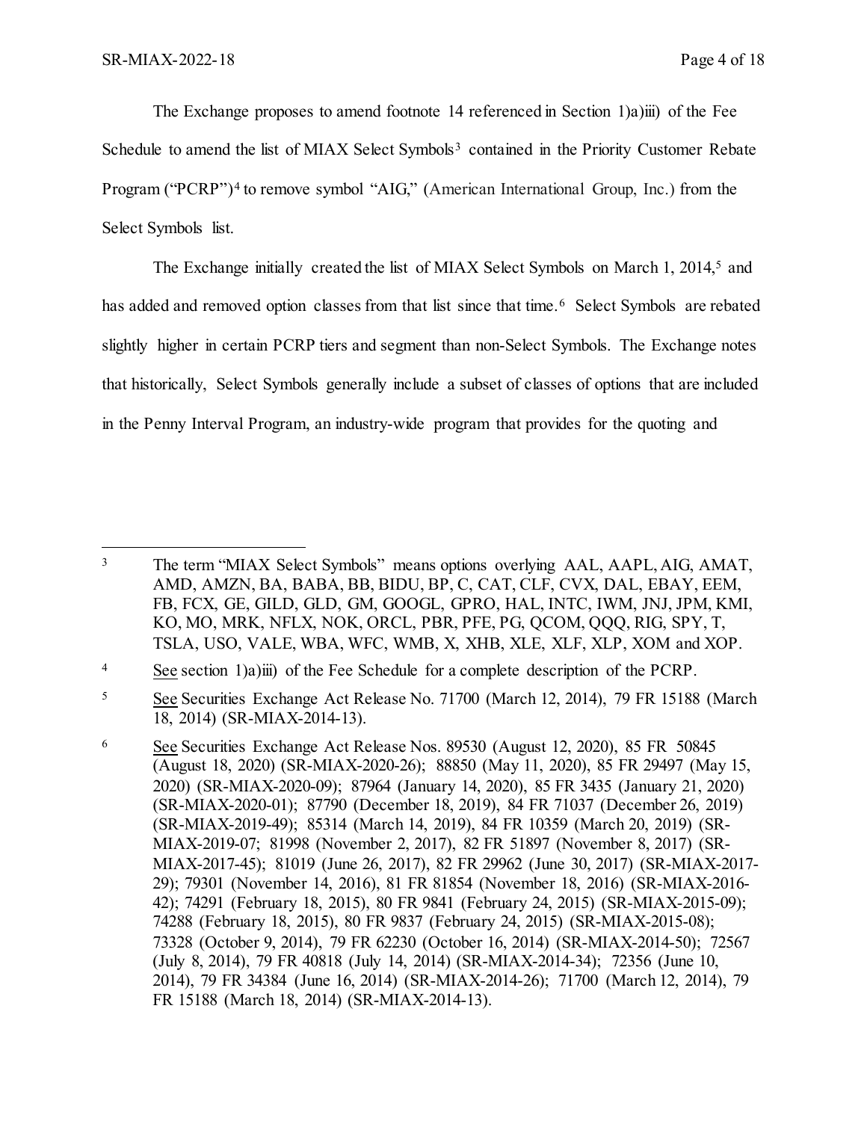$\overline{a}$ 

The Exchange proposes to amend footnote 14 referenced in Section 1)a)iii) of the Fee Schedule to amend the list of MIAX Select Symbols<sup>[3](#page-3-0)</sup> contained in the Priority Customer Rebate Program ("PCRP")<sup>[4](#page-3-1)</sup> to remove symbol "AIG," (American International Group, Inc.) from the Select Symbols list.

The Exchange initially created the list of MIAX Select Symbols on March 1, 2014,<sup>[5](#page-3-2)</sup> and has added and removed option classes from that list since that time.<sup>[6](#page-3-3)</sup> Select Symbols are rebated slightly higher in certain PCRP tiers and segment than non-Select Symbols. The Exchange notes that historically, Select Symbols generally include a subset of classes of options that are included in the Penny Interval Program, an industry-wide program that provides for the quoting and

<span id="page-3-1"></span><sup>4</sup> See section 1)a)iii) of the Fee Schedule for a complete description of the PCRP.

<span id="page-3-0"></span><sup>&</sup>lt;sup>3</sup> The term "MIAX Select Symbols" means options overlying AAL, AAPL, AIG, AMAT, AMD, AMZN, BA, BABA, BB, BIDU, BP, C, CAT, CLF, CVX, DAL, EBAY, EEM, FB, FCX, GE, GILD, GLD, GM, GOOGL, GPRO, HAL, INTC, IWM, JNJ, JPM, KMI, KO, MO, MRK, NFLX, NOK, ORCL, PBR, PFE, PG, QCOM, QQQ, RIG, SPY, T, TSLA, USO, VALE, WBA, WFC, WMB, X, XHB, XLE, XLF, XLP, XOM and XOP.

<span id="page-3-2"></span><sup>5</sup> See Securities Exchange Act Release No. 71700 (March 12, 2014), 79 FR 15188 (March 18, 2014) (SR-MIAX-2014-13).

<span id="page-3-3"></span><sup>6</sup> See Securities Exchange Act Release Nos. 89530 (August 12, 2020), 85 FR 50845 (August 18, 2020) (SR-MIAX-2020-26); 88850 (May 11, 2020), 85 FR 29497 (May 15, 2020) (SR-MIAX-2020-09); 87964 (January 14, 2020), 85 FR 3435 (January 21, 2020) (SR-MIAX-2020-01); 87790 (December 18, 2019), 84 FR 71037 (December 26, 2019) (SR-MIAX-2019-49); 85314 (March 14, 2019), 84 FR 10359 (March 20, 2019) (SR-MIAX-2019-07; 81998 (November 2, 2017), 82 FR 51897 (November 8, 2017) (SR-MIAX-2017-45); 81019 (June 26, 2017), 82 FR 29962 (June 30, 2017) (SR-MIAX-2017- 29); 79301 (November 14, 2016), 81 FR 81854 (November 18, 2016) (SR-MIAX-2016- 42); 74291 (February 18, 2015), 80 FR 9841 (February 24, 2015) (SR-MIAX-2015-09); 74288 (February 18, 2015), 80 FR 9837 (February 24, 2015) (SR-MIAX-2015-08); 73328 (October 9, 2014), 79 FR 62230 (October 16, 2014) (SR-MIAX-2014-50); 72567 (July 8, 2014), 79 FR 40818 (July 14, 2014) (SR-MIAX-2014-34); 72356 (June 10, 2014), 79 FR 34384 (June 16, 2014) (SR-MIAX-2014-26); 71700 (March 12, 2014), 79 FR 15188 (March 18, 2014) (SR-MIAX-2014-13).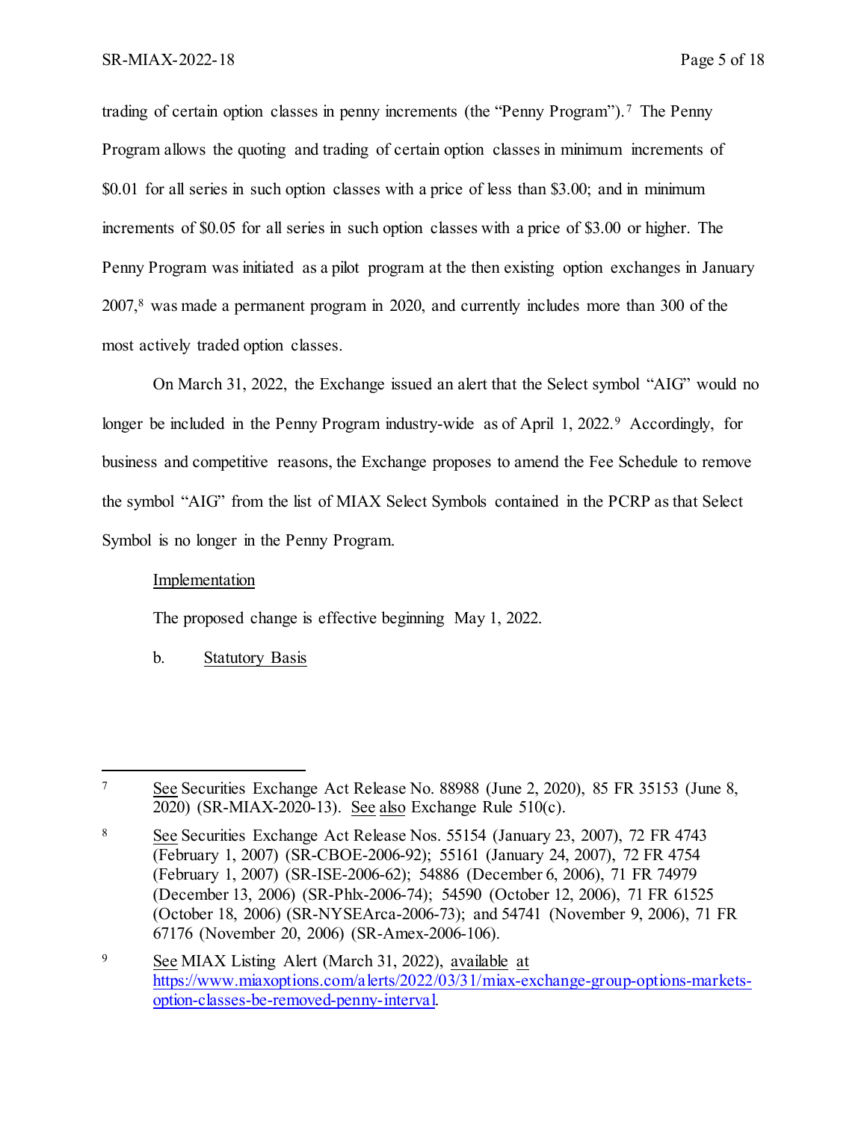trading of certain option classes in penny increments (the "Penny Program"). [7](#page-4-0) The Penny Program allows the quoting and trading of certain option classes in minimum increments of \$0.01 for all series in such option classes with a price of less than \$3.00; and in minimum increments of \$0.05 for all series in such option classes with a price of \$3.00 or higher. The Penny Program was initiated as a pilot program at the then existing option exchanges in January 2007, [8](#page-4-1) was made a permanent program in 2020, and currently includes more than 300 of the most actively traded option classes.

On March 31, 2022, the Exchange issued an alert that the Select symbol "AIG" would no longer be included in the Penny Program industry-wide as of April 1, 2022.<sup>[9](#page-4-2)</sup> Accordingly, for business and competitive reasons, the Exchange proposes to amend the Fee Schedule to remove the symbol "AIG" from the list of MIAX Select Symbols contained in the PCRP as that Select Symbol is no longer in the Penny Program.

#### Implementation

The proposed change is effective beginning May 1, 2022.

#### b. Statutory Basis

<span id="page-4-0"></span> $\overline{a}$ <sup>7</sup> See Securities Exchange Act Release No. 88988 (June 2, 2020), 85 FR 35153 (June 8, 2020) (SR-MIAX-2020-13). See also Exchange Rule 510(c).

<span id="page-4-1"></span><sup>8</sup> See Securities Exchange Act Release Nos. 55154 (January 23, 2007), 72 FR 4743 (February 1, 2007) (SR-CBOE-2006-92); 55161 (January 24, 2007), 72 FR 4754 (February 1, 2007) (SR-ISE-2006-62); 54886 (December 6, 2006), 71 FR 74979 (December 13, 2006) (SR-Phlx-2006-74); 54590 (October 12, 2006), 71 FR 61525 (October 18, 2006) (SR-NYSEArca-2006-73); and 54741 (November 9, 2006), 71 FR 67176 (November 20, 2006) (SR-Amex-2006-106).

<span id="page-4-2"></span><sup>9</sup> See MIAX Listing Alert (March 31, 2022), available at [https://www.miaxoptions.com/alerts/2022/03/31/miax-exchange-group-options-markets](https://www.miaxoptions.com/alerts/2022/03/31/miax-exchange-group-options-markets-option-classes-be-removed-penny-interval)[option-classes-be-removed-penny-interval.](https://www.miaxoptions.com/alerts/2022/03/31/miax-exchange-group-options-markets-option-classes-be-removed-penny-interval)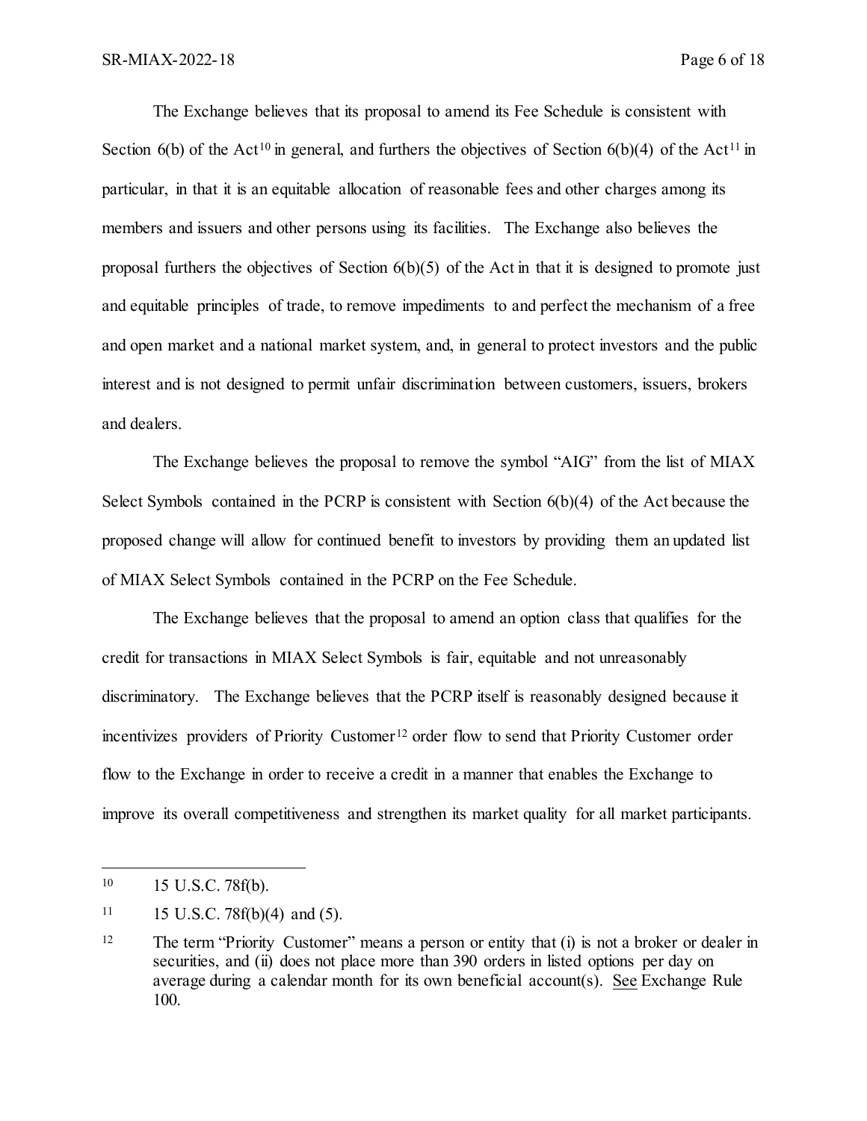The Exchange believes that its proposal to amend its Fee Schedule is consistent with Section 6(b) of the Act<sup>[10](#page-5-0)</sup> in general, and furthers the objectives of Section 6(b)(4) of the Act<sup>[11](#page-5-1)</sup> in particular, in that it is an equitable allocation of reasonable fees and other charges among its members and issuers and other persons using its facilities. The Exchange also believes the proposal furthers the objectives of Section 6(b)(5) of the Act in that it is designed to promote just and equitable principles of trade, to remove impediments to and perfect the mechanism of a free and open market and a national market system, and, in general to protect investors and the public interest and is not designed to permit unfair discrimination between customers, issuers, brokers and dealers.

The Exchange believes the proposal to remove the symbol "AIG" from the list of MIAX Select Symbols contained in the PCRP is consistent with Section 6(b)(4) of the Act because the proposed change will allow for continued benefit to investors by providing them an updated list of MIAX Select Symbols contained in the PCRP on the Fee Schedule.

The Exchange believes that the proposal to amend an option class that qualifies for the credit for transactions in MIAX Select Symbols is fair, equitable and not unreasonably discriminatory. The Exchange believes that the PCRP itself is reasonably designed because it incentivizes providers of Priority Customer<sup>[12](#page-5-2)</sup> order flow to send that Priority Customer order flow to the Exchange in order to receive a credit in a manner that enables the Exchange to improve its overall competitiveness and strengthen its market quality for all market participants.

l

<span id="page-5-0"></span><sup>10</sup> 15 U.S.C. 78f(b).

<span id="page-5-1"></span> $11 \qquad 15 \text{ U.S.C. } 78f(b)(4) \text{ and } (5).$ 

<span id="page-5-2"></span><sup>&</sup>lt;sup>12</sup> The term "Priority Customer" means a person or entity that (i) is not a broker or dealer in securities, and (ii) does not place more than 390 orders in listed options per day on average during a calendar month for its own beneficial account(s). See Exchange Rule 100.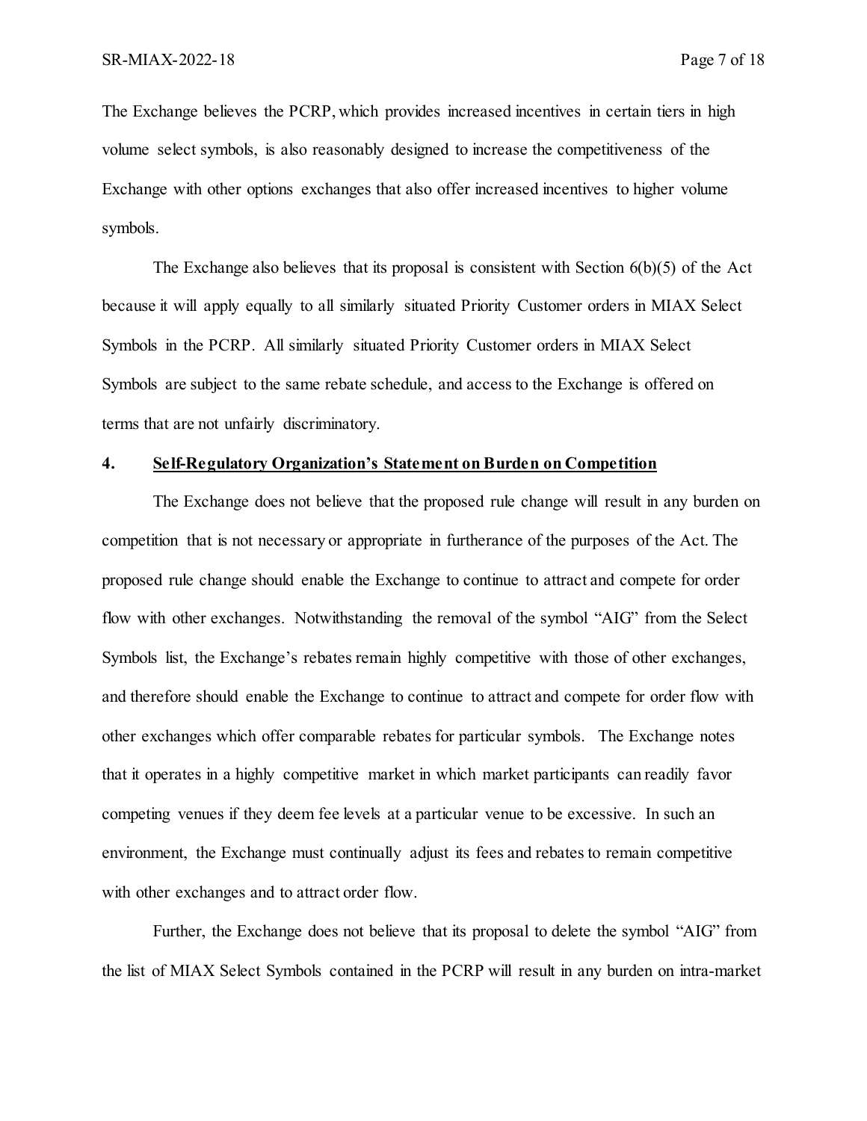The Exchange believes the PCRP, which provides increased incentives in certain tiers in high volume select symbols, is also reasonably designed to increase the competitiveness of the Exchange with other options exchanges that also offer increased incentives to higher volume symbols.

The Exchange also believes that its proposal is consistent with Section 6(b)(5) of the Act because it will apply equally to all similarly situated Priority Customer orders in MIAX Select Symbols in the PCRP. All similarly situated Priority Customer orders in MIAX Select Symbols are subject to the same rebate schedule, and access to the Exchange is offered on terms that are not unfairly discriminatory.

#### **4. Self-Regulatory Organization's Statement on Burden on Competition**

The Exchange does not believe that the proposed rule change will result in any burden on competition that is not necessary or appropriate in furtherance of the purposes of the Act. The proposed rule change should enable the Exchange to continue to attract and compete for order flow with other exchanges. Notwithstanding the removal of the symbol "AIG" from the Select Symbols list, the Exchange's rebates remain highly competitive with those of other exchanges, and therefore should enable the Exchange to continue to attract and compete for order flow with other exchanges which offer comparable rebates for particular symbols. The Exchange notes that it operates in a highly competitive market in which market participants can readily favor competing venues if they deem fee levels at a particular venue to be excessive. In such an environment, the Exchange must continually adjust its fees and rebates to remain competitive with other exchanges and to attract order flow.

Further, the Exchange does not believe that its proposal to delete the symbol "AIG" from the list of MIAX Select Symbols contained in the PCRP will result in any burden on intra-market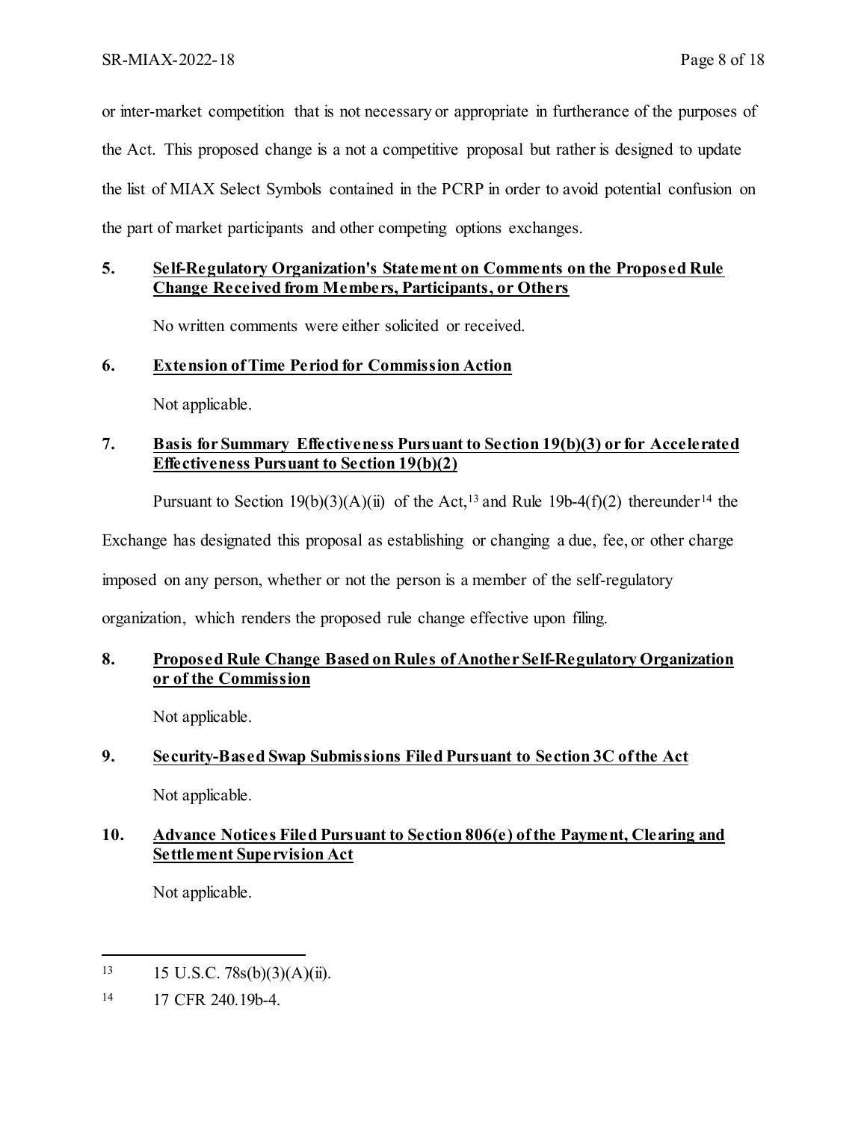or inter-market competition that is not necessary or appropriate in furtherance of the purposes of the Act. This proposed change is a not a competitive proposal but rather is designed to update the list of MIAX Select Symbols contained in the PCRP in order to avoid potential confusion on the part of market participants and other competing options exchanges.

# **5. Self-Regulatory Organization's Statement on Comments on the Proposed Rule Change Received from Members, Participants, or Others**

No written comments were either solicited or received.

#### **6. Extension of Time Period for Commission Action**

Not applicable.

# **7. Basis for Summary Effectiveness Pursuant to Section 19(b)(3) or for Accelerated Effectiveness Pursuant to Section 19(b)(2)**

Pursuant to Section 19(b)(3)(A)(ii) of the Act,<sup>13</sup> and Rule 19b-4(f)(2) thereunder<sup>[14](#page-7-1)</sup> the

Exchange has designated this proposal as establishing or changing a due, fee, or other charge

imposed on any person, whether or not the person is a member of the self-regulatory

organization, which renders the proposed rule change effective upon filing.

## **8. Proposed Rule Change Based on Rules of Another Self-Regulatory Organization or of the Commission**

Not applicable.

# **9. Security-Based Swap Submissions Filed Pursuant to Section 3C of the Act**

Not applicable.

# **10. Advance Notices Filed Pursuant to Section 806(e) of the Payment, Clearing and Settlement Supervision Act**

Not applicable.

 $\overline{a}$ 

<span id="page-7-0"></span><sup>13 15</sup> U.S.C. 78s(b)(3)(A)(ii).

<span id="page-7-1"></span><sup>14</sup> 17 CFR 240.19b-4.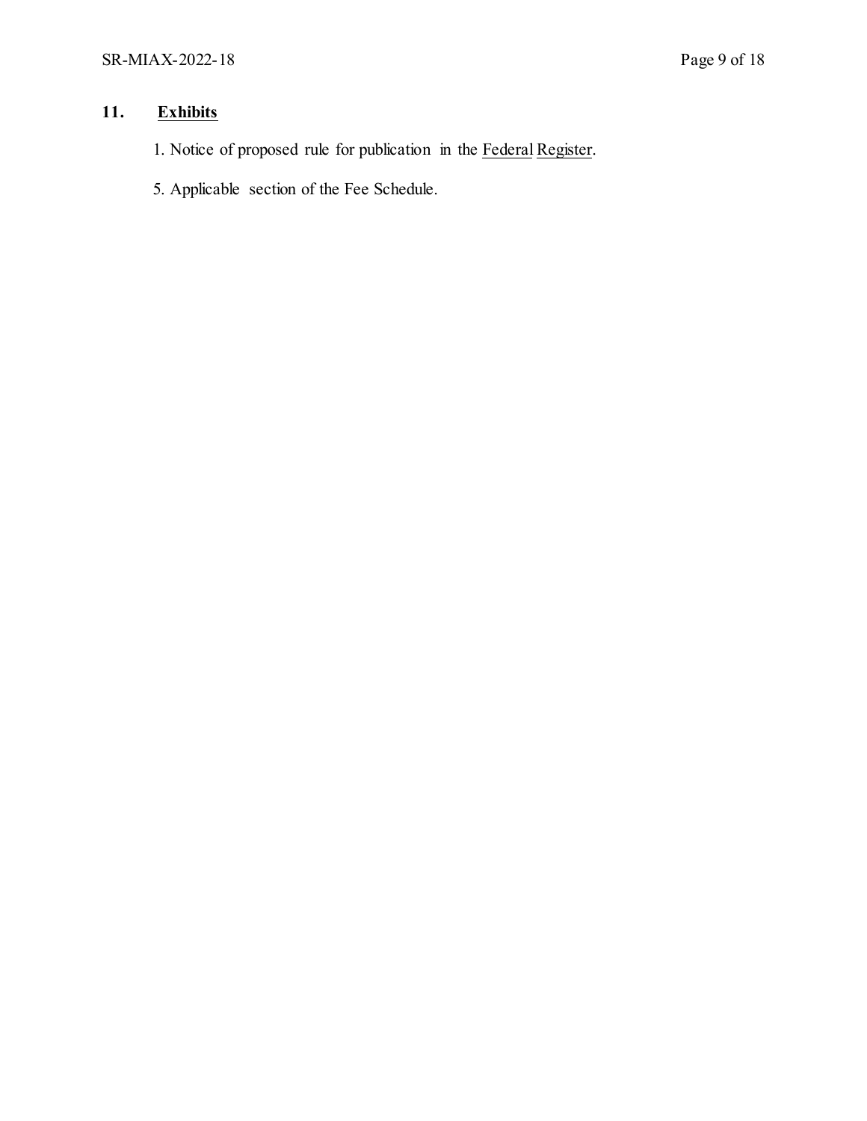# **11. Exhibits**

- 1. Notice of proposed rule for publication in the Federal Register.
- 5. Applicable section of the Fee Schedule.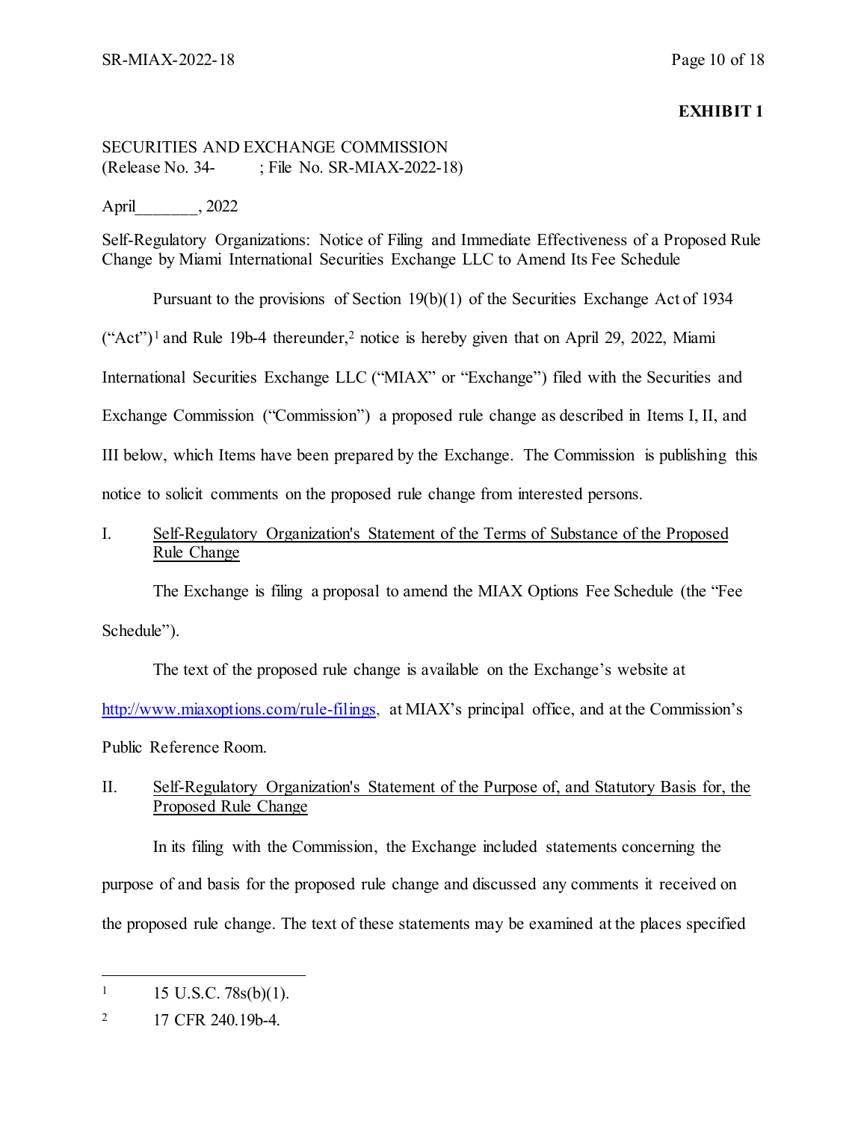## **EXHIBIT 1**

# SECURITIES AND EXCHANGE COMMISSION (Release No. 34- ; File No. SR-MIAX-2022-18)

## April\_\_\_\_\_\_\_, 2022

Self-Regulatory Organizations: Notice of Filing and Immediate Effectiveness of a Proposed Rule Change by Miami International Securities Exchange LLC to Amend Its Fee Schedule

Pursuant to the provisions of Section 19(b)(1) of the Securities Exchange Act of 1934

 $("Act")<sup>1</sup>$  $("Act")<sup>1</sup>$  $("Act")<sup>1</sup>$  and Rule 19b-4 thereunder,<sup>2</sup> notice is hereby given that on April 29, 2022, Miami

International Securities Exchange LLC ("MIAX" or "Exchange") filed with the Securities and

Exchange Commission ("Commission") a proposed rule change as described in Items I, II, and

III below, which Items have been prepared by the Exchange. The Commission is publishing this

notice to solicit comments on the proposed rule change from interested persons.

# I. Self-Regulatory Organization's Statement of the Terms of Substance of the Proposed Rule Change

The Exchange is filing a proposal to amend the MIAX Options Fee Schedule (the "Fee

Schedule").

The text of the proposed rule change is available on the Exchange's website at [http://www.miaxoptions.com/rule-filings,](http://www.miaxoptions.com/rule-filings) at MIAX's principal office, and at the Commission's Public Reference Room.

# II. Self-Regulatory Organization's Statement of the Purpose of, and Statutory Basis for, the Proposed Rule Change

In its filing with the Commission, the Exchange included statements concerning the purpose of and basis for the proposed rule change and discussed any comments it received on the proposed rule change. The text of these statements may be examined at the places specified

<span id="page-9-0"></span> $\overline{a}$  $1 \quad 15 \text{ U.S.C. } 78 \text{s(b)}(1).$ 

<span id="page-9-1"></span><sup>&</sup>lt;sup>2</sup> 17 CFR 240.19b-4.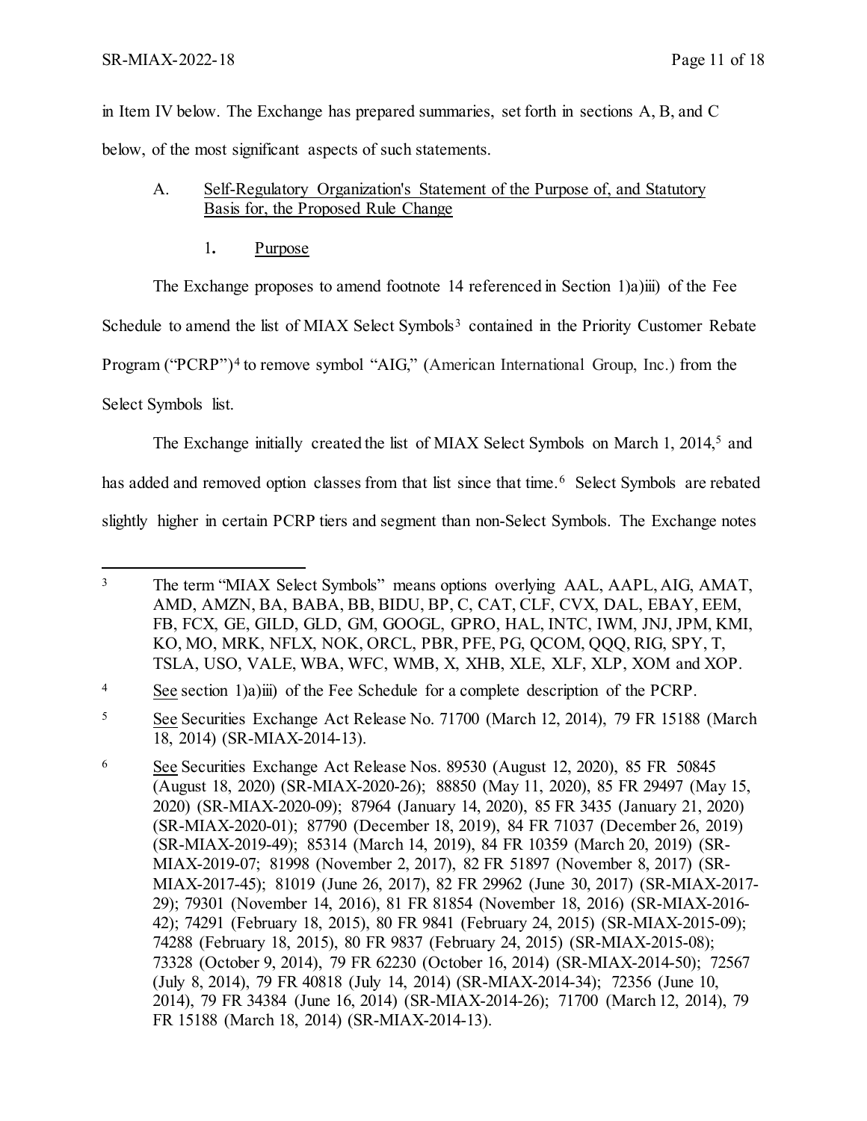in Item IV below. The Exchange has prepared summaries, set forth in sections A, B, and C below, of the most significant aspects of such statements.

- A. Self-Regulatory Organization's Statement of the Purpose of, and Statutory Basis for, the Proposed Rule Change
	- 1**.** Purpose

The Exchange proposes to amend footnote 14 referenced in Section 1)a)iii) of the Fee

Schedule to amend the list of MIAX Select Symbols<sup>[3](#page-10-0)</sup> contained in the Priority Customer Rebate

Program ("PCRP")<sup>[4](#page-10-1)</sup> to remove symbol "AIG," (American International Group, Inc.) from the

Select Symbols list.

The Exchange initially created the list of MIAX Select Symbols on March 1, 2014,<sup>[5](#page-10-2)</sup> and

has added and removed option classes from that list since that time.<sup>[6](#page-10-3)</sup> Select Symbols are rebated

slightly higher in certain PCRP tiers and segment than non-Select Symbols. The Exchange notes

<span id="page-10-0"></span> $\overline{a}$ <sup>3</sup> The term "MIAX Select Symbols" means options overlying AAL, AAPL, AIG, AMAT, AMD, AMZN, BA, BABA, BB, BIDU, BP, C, CAT, CLF, CVX, DAL, EBAY, EEM, FB, FCX, GE, GILD, GLD, GM, GOOGL, GPRO, HAL, INTC, IWM, JNJ, JPM, KMI, KO, MO, MRK, NFLX, NOK, ORCL, PBR, PFE, PG, QCOM, QQQ, RIG, SPY, T, TSLA, USO, VALE, WBA, WFC, WMB, X, XHB, XLE, XLF, XLP, XOM and XOP.

<span id="page-10-1"></span><sup>4</sup> See section 1)a)iii) of the Fee Schedule for a complete description of the PCRP.

<span id="page-10-2"></span><sup>5</sup> See Securities Exchange Act Release No. 71700 (March 12, 2014), 79 FR 15188 (March 18, 2014) (SR-MIAX-2014-13).

<span id="page-10-3"></span><sup>6</sup> See Securities Exchange Act Release Nos. 89530 (August 12, 2020), 85 FR 50845 (August 18, 2020) (SR-MIAX-2020-26); 88850 (May 11, 2020), 85 FR 29497 (May 15, 2020) (SR-MIAX-2020-09); 87964 (January 14, 2020), 85 FR 3435 (January 21, 2020) (SR-MIAX-2020-01); 87790 (December 18, 2019), 84 FR 71037 (December 26, 2019) (SR-MIAX-2019-49); 85314 (March 14, 2019), 84 FR 10359 (March 20, 2019) (SR-MIAX-2019-07; 81998 (November 2, 2017), 82 FR 51897 (November 8, 2017) (SR-MIAX-2017-45); 81019 (June 26, 2017), 82 FR 29962 (June 30, 2017) (SR-MIAX-2017- 29); 79301 (November 14, 2016), 81 FR 81854 (November 18, 2016) (SR-MIAX-2016- 42); 74291 (February 18, 2015), 80 FR 9841 (February 24, 2015) (SR-MIAX-2015-09); 74288 (February 18, 2015), 80 FR 9837 (February 24, 2015) (SR-MIAX-2015-08); 73328 (October 9, 2014), 79 FR 62230 (October 16, 2014) (SR-MIAX-2014-50); 72567 (July 8, 2014), 79 FR 40818 (July 14, 2014) (SR-MIAX-2014-34); 72356 (June 10, 2014), 79 FR 34384 (June 16, 2014) (SR-MIAX-2014-26); 71700 (March 12, 2014), 79 FR 15188 (March 18, 2014) (SR-MIAX-2014-13).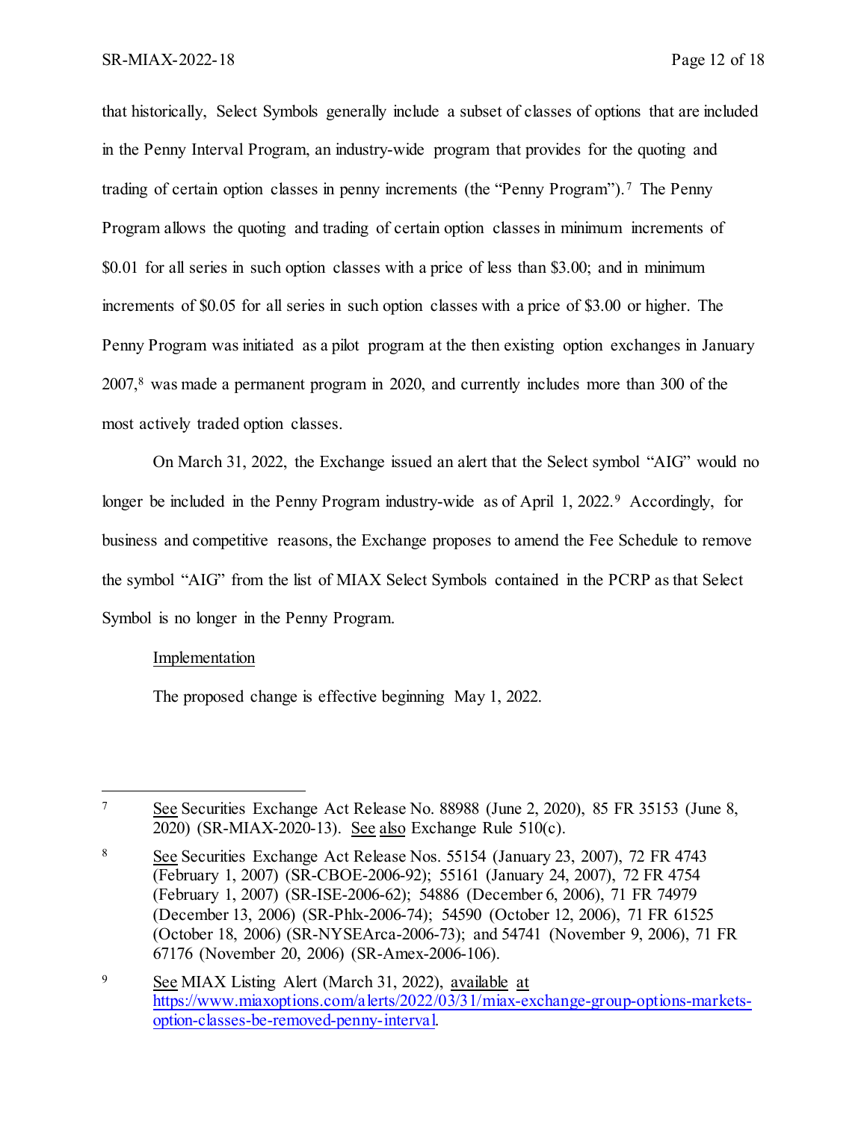that historically, Select Symbols generally include a subset of classes of options that are included in the Penny Interval Program, an industry-wide program that provides for the quoting and trading of certain option classes in penny increments (the "Penny Program"). [7](#page-11-0) The Penny Program allows the quoting and trading of certain option classes in minimum increments of \$0.01 for all series in such option classes with a price of less than \$3.00; and in minimum increments of \$0.05 for all series in such option classes with a price of \$3.00 or higher. The Penny Program was initiated as a pilot program at the then existing option exchanges in January 2007, [8](#page-11-1) was made a permanent program in 2020, and currently includes more than 300 of the most actively traded option classes.

On March 31, 2022, the Exchange issued an alert that the Select symbol "AIG" would no longer be included in the Penny Program industry-wide as of April 1, 2022.<sup>[9](#page-11-2)</sup> Accordingly, for business and competitive reasons, the Exchange proposes to amend the Fee Schedule to remove the symbol "AIG" from the list of MIAX Select Symbols contained in the PCRP as that Select Symbol is no longer in the Penny Program.

#### Implementation

l

The proposed change is effective beginning May 1, 2022.

<span id="page-11-0"></span><sup>7</sup> See Securities Exchange Act Release No. 88988 (June 2, 2020), 85 FR 35153 (June 8, 2020) (SR-MIAX-2020-13). See also Exchange Rule 510(c).

<span id="page-11-1"></span><sup>8</sup> See Securities Exchange Act Release Nos. 55154 (January 23, 2007), 72 FR 4743 (February 1, 2007) (SR-CBOE-2006-92); 55161 (January 24, 2007), 72 FR 4754 (February 1, 2007) (SR-ISE-2006-62); 54886 (December 6, 2006), 71 FR 74979 (December 13, 2006) (SR-Phlx-2006-74); 54590 (October 12, 2006), 71 FR 61525 (October 18, 2006) (SR-NYSEArca-2006-73); and 54741 (November 9, 2006), 71 FR 67176 (November 20, 2006) (SR-Amex-2006-106).

<span id="page-11-2"></span><sup>9</sup> See MIAX Listing Alert (March 31, 2022), available at [https://www.miaxoptions.com/alerts/2022/03/31/miax-exchange-group-options-markets](https://www.miaxoptions.com/alerts/2022/03/31/miax-exchange-group-options-markets-option-classes-be-removed-penny-interval)[option-classes-be-removed-penny-interval.](https://www.miaxoptions.com/alerts/2022/03/31/miax-exchange-group-options-markets-option-classes-be-removed-penny-interval)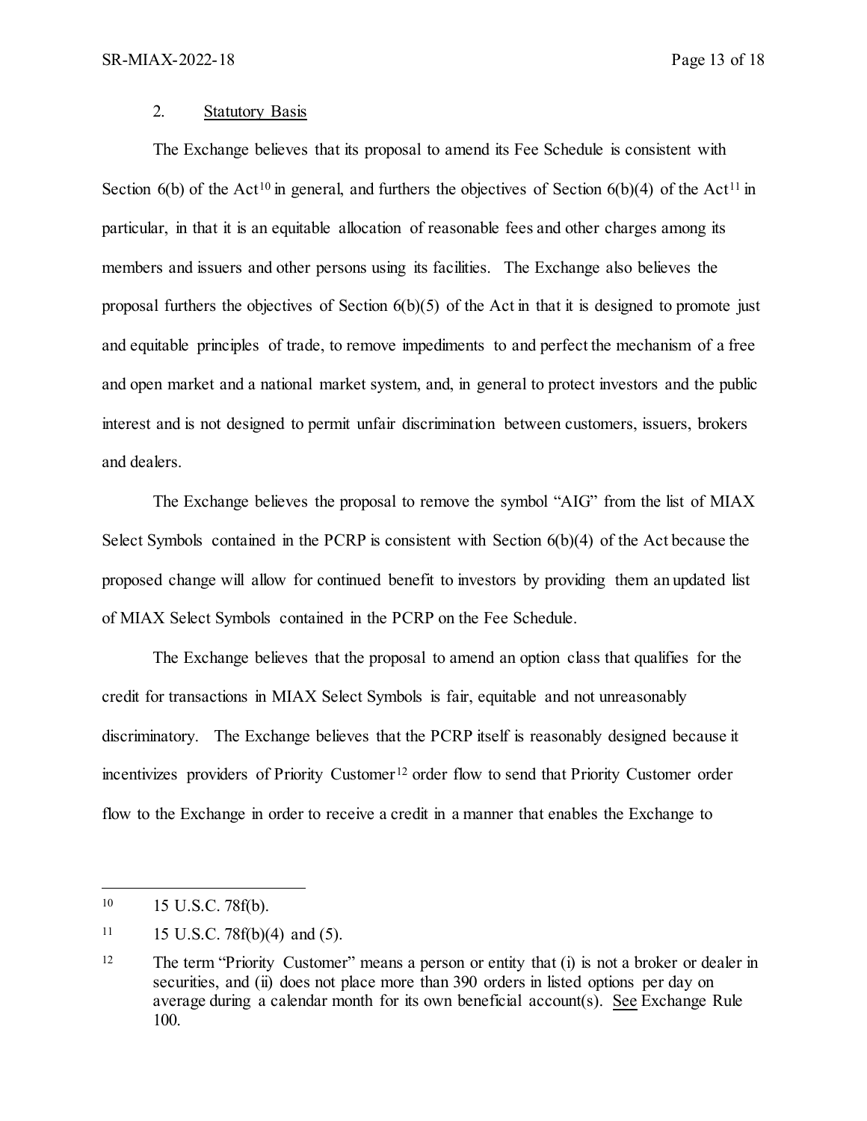#### 2. Statutory Basis

The Exchange believes that its proposal to amend its Fee Schedule is consistent with Section 6(b) of the Act<sup>[10](#page-12-0)</sup> in general, and furthers the objectives of Section 6(b)(4) of the Act<sup>[11](#page-12-1)</sup> in particular, in that it is an equitable allocation of reasonable fees and other charges among its members and issuers and other persons using its facilities. The Exchange also believes the proposal furthers the objectives of Section  $6(b)(5)$  of the Act in that it is designed to promote just and equitable principles of trade, to remove impediments to and perfect the mechanism of a free and open market and a national market system, and, in general to protect investors and the public interest and is not designed to permit unfair discrimination between customers, issuers, brokers and dealers.

The Exchange believes the proposal to remove the symbol "AIG" from the list of MIAX Select Symbols contained in the PCRP is consistent with Section 6(b)(4) of the Act because the proposed change will allow for continued benefit to investors by providing them an updated list of MIAX Select Symbols contained in the PCRP on the Fee Schedule.

The Exchange believes that the proposal to amend an option class that qualifies for the credit for transactions in MIAX Select Symbols is fair, equitable and not unreasonably discriminatory. The Exchange believes that the PCRP itself is reasonably designed because it incentivizes providers of Priority Customer<sup>[12](#page-12-2)</sup> order flow to send that Priority Customer order flow to the Exchange in order to receive a credit in a manner that enables the Exchange to

<span id="page-12-0"></span> $10\,$ 15 U.S.C. 78f(b).

<span id="page-12-1"></span> $11$  15 U.S.C. 78f(b)(4) and (5).

<span id="page-12-2"></span><sup>&</sup>lt;sup>12</sup> The term "Priority Customer" means a person or entity that (i) is not a broker or dealer in securities, and (ii) does not place more than 390 orders in listed options per day on average during a calendar month for its own beneficial account(s). See Exchange Rule 100.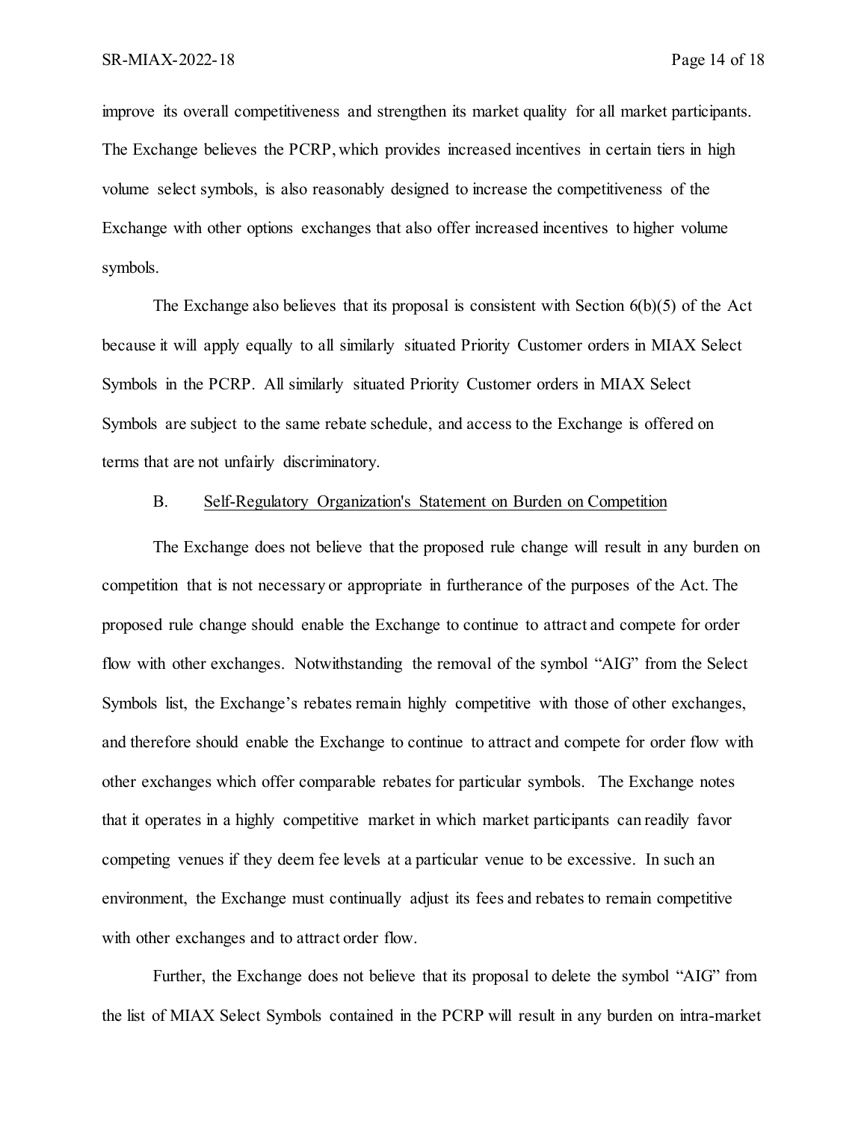improve its overall competitiveness and strengthen its market quality for all market participants. The Exchange believes the PCRP, which provides increased incentives in certain tiers in high volume select symbols, is also reasonably designed to increase the competitiveness of the Exchange with other options exchanges that also offer increased incentives to higher volume symbols.

The Exchange also believes that its proposal is consistent with Section  $6(b)(5)$  of the Act because it will apply equally to all similarly situated Priority Customer orders in MIAX Select Symbols in the PCRP. All similarly situated Priority Customer orders in MIAX Select Symbols are subject to the same rebate schedule, and access to the Exchange is offered on terms that are not unfairly discriminatory.

#### B. Self-Regulatory Organization's Statement on Burden on Competition

The Exchange does not believe that the proposed rule change will result in any burden on competition that is not necessary or appropriate in furtherance of the purposes of the Act. The proposed rule change should enable the Exchange to continue to attract and compete for order flow with other exchanges. Notwithstanding the removal of the symbol "AIG" from the Select Symbols list, the Exchange's rebates remain highly competitive with those of other exchanges, and therefore should enable the Exchange to continue to attract and compete for order flow with other exchanges which offer comparable rebates for particular symbols. The Exchange notes that it operates in a highly competitive market in which market participants can readily favor competing venues if they deem fee levels at a particular venue to be excessive. In such an environment, the Exchange must continually adjust its fees and rebates to remain competitive with other exchanges and to attract order flow.

Further, the Exchange does not believe that its proposal to delete the symbol "AIG" from the list of MIAX Select Symbols contained in the PCRP will result in any burden on intra-market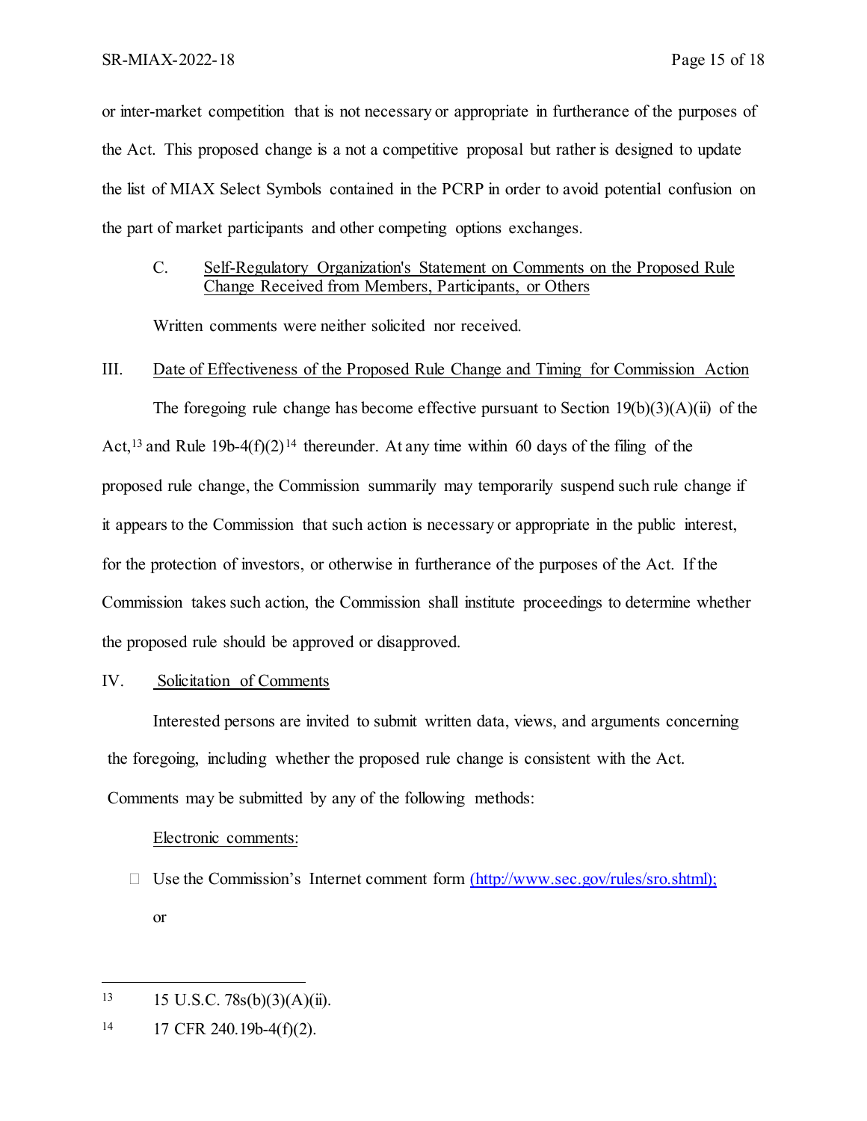or inter-market competition that is not necessary or appropriate in furtherance of the purposes of the Act. This proposed change is a not a competitive proposal but rather is designed to update the list of MIAX Select Symbols contained in the PCRP in order to avoid potential confusion on the part of market participants and other competing options exchanges.

## C. Self-Regulatory Organization's Statement on Comments on the Proposed Rule Change Received from Members, Participants, or Others

Written comments were neither solicited nor received.

#### III. Date of Effectiveness of the Proposed Rule Change and Timing for Commission Action

The foregoing rule change has become effective pursuant to Section  $19(b)(3)(A)(ii)$  of the Act,<sup>[13](#page-14-0)</sup> and Rule 19b-4(f)(2)<sup>[14](#page-14-1)</sup> thereunder. At any time within 60 days of the filing of the proposed rule change, the Commission summarily may temporarily suspend such rule change if it appears to the Commission that such action is necessary or appropriate in the public interest, for the protection of investors, or otherwise in furtherance of the purposes of the Act. If the Commission takes such action, the Commission shall institute proceedings to determine whether the proposed rule should be approved or disapproved.

### IV. Solicitation of Comments

Interested persons are invited to submit written data, views, and arguments concerning the foregoing, including whether the proposed rule change is consistent with the Act. Comments may be submitted by any of the following methods:

#### Electronic comments:

 $\Box$  Use the Commission's Internet comment form [\(http://www.sec.gov/rules/sro.shtml\);](http://www.sec.gov/rules/sro.shtml);) or

 $\overline{a}$ 

<span id="page-14-0"></span><sup>13 15</sup> U.S.C.  $78s(b)(3)(A)(ii)$ .

<span id="page-14-1"></span> $14$  17 CFR 240.19b-4(f)(2).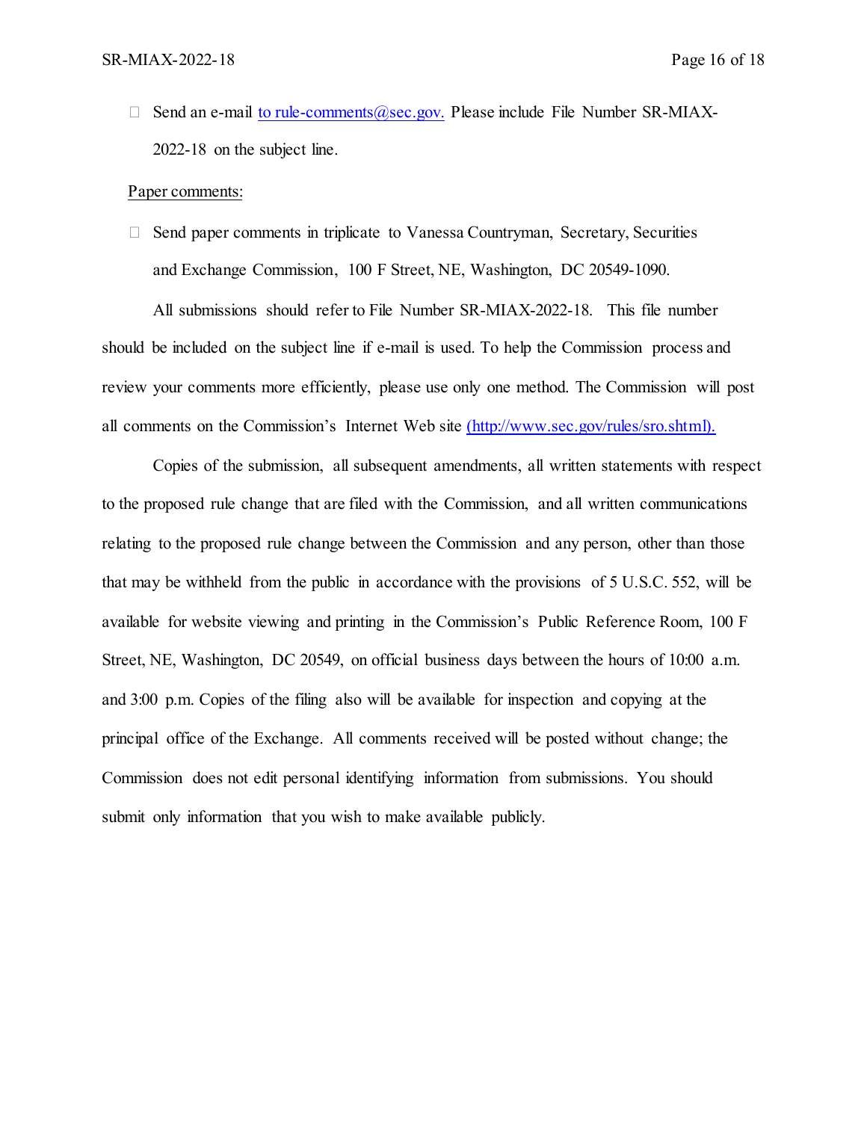Send an e-mail [to](mailto:to_rule-comments@sec.gov) rule-comments @sec.gov. Please include File Number SR-MIAX-2022-18 on the subject line.

#### Paper comments:

 $\Box$  Send paper comments in triplicate to Vanessa Countryman, Secretary, Securities and Exchange Commission, 100 F Street, NE, Washington, DC 20549-1090.

All submissions should refer to File Number SR-MIAX-2022-18. This file number should be included on the subject line if e-mail is used. To help the Commission process and review your comments more efficiently, please use only one method. The Commission will post all comments on the Commission's Internet Web site [\(http://www.sec.gov/rules/sro.shtml\).](http://www.sec.gov/rules/sro.shtml).)

Copies of the submission, all subsequent amendments, all written statements with respect to the proposed rule change that are filed with the Commission, and all written communications relating to the proposed rule change between the Commission and any person, other than those that may be withheld from the public in accordance with the provisions of 5 U.S.C. 552, will be available for website viewing and printing in the Commission's Public Reference Room, 100 F Street, NE, Washington, DC 20549, on official business days between the hours of 10:00 a.m. and 3:00 p.m. Copies of the filing also will be available for inspection and copying at the principal office of the Exchange. All comments received will be posted without change; the Commission does not edit personal identifying information from submissions. You should submit only information that you wish to make available publicly.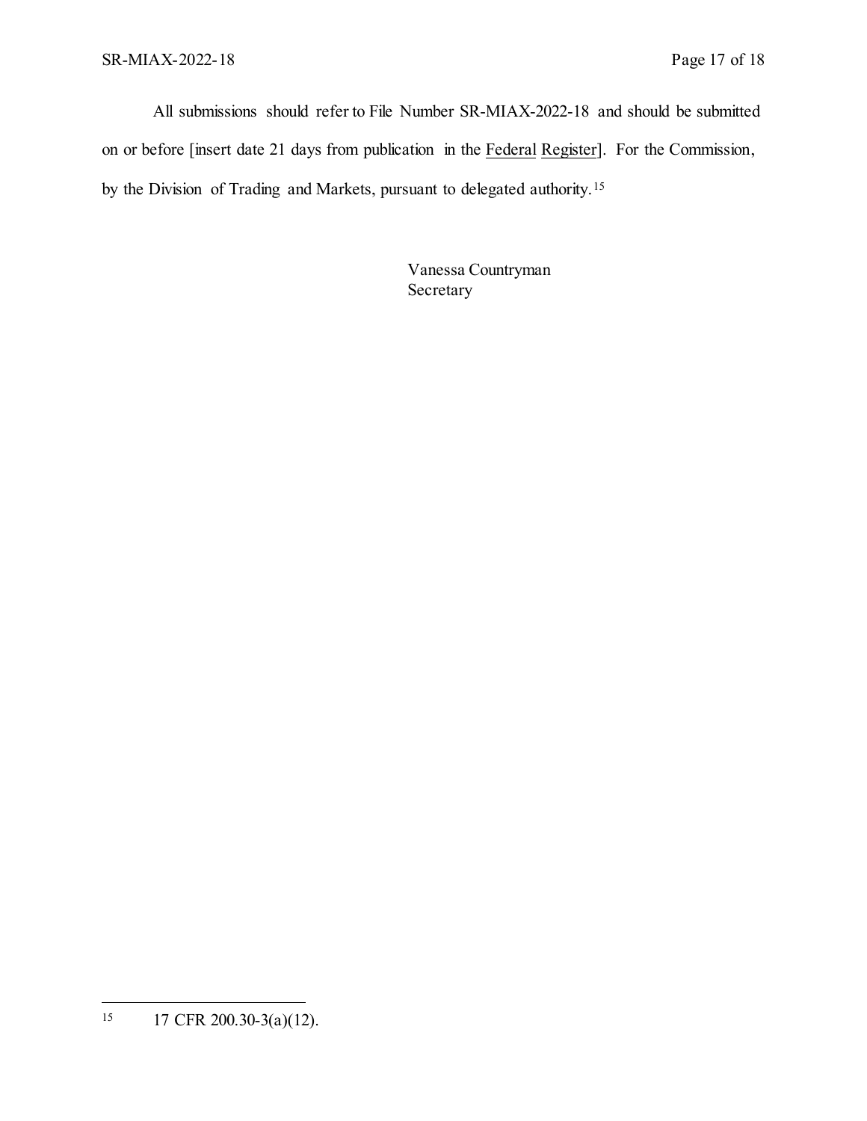All submissions should refer to File Number SR-MIAX-2022-18 and should be submitted on or before [insert date 21 days from publication in the Federal Register]. For the Commission, by the Division of Trading and Markets, pursuant to delegated authority.[15](#page-16-0)

> Vanessa Countryman Secretary

<span id="page-16-0"></span> $15\,$ <sup>15</sup> 17 CFR 200.30-3(a)(12).